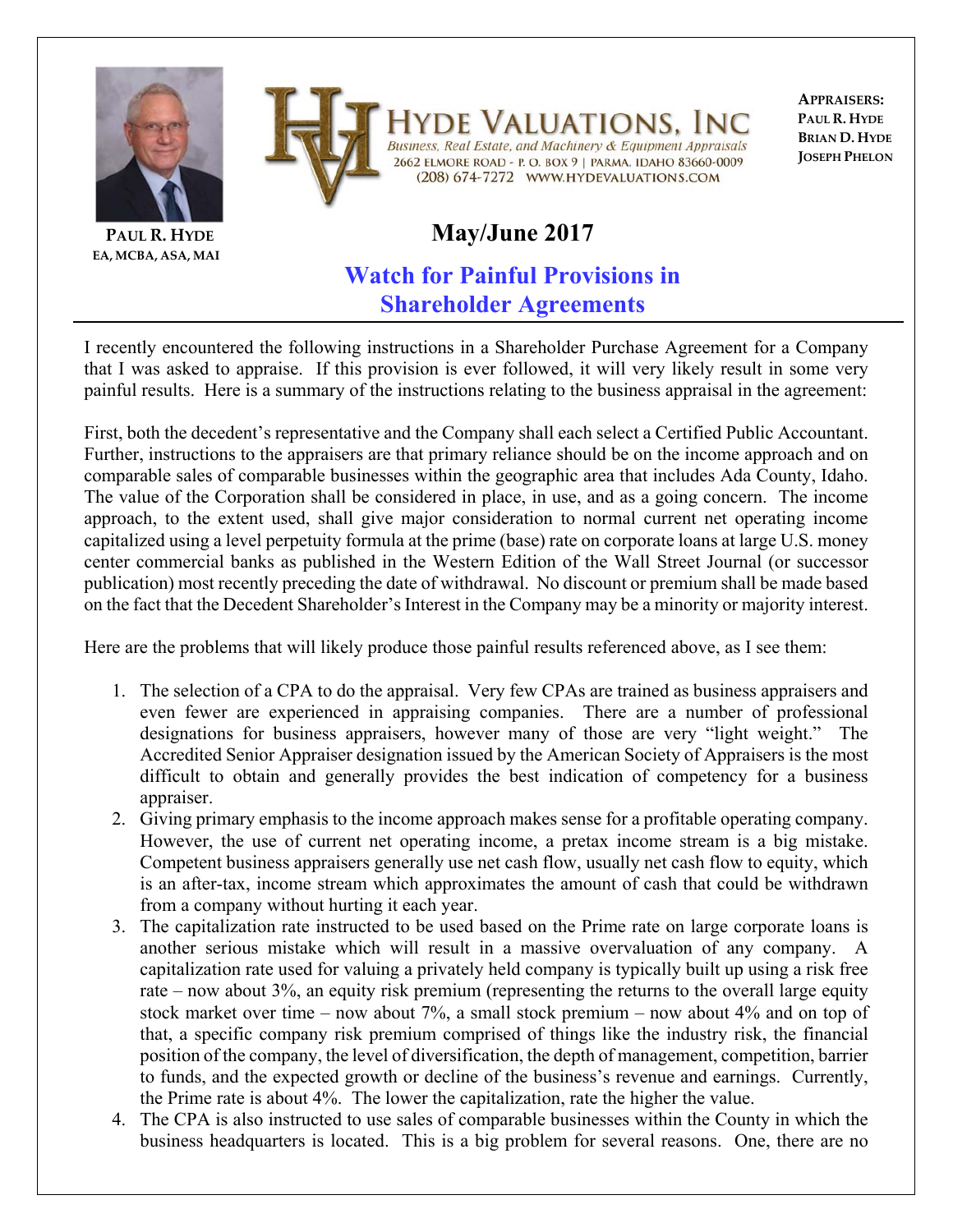



**PAUL R. HYDE EA, MCBA, ASA, MAI**

#### Valuations. In Business, Real Estate, and Machinery & Equipment Appraisals 2662 ELMORE ROAD - P. O. BOX 9 | PARMA, IDAHO 83660-0009 (208) 674-7272 WWW.HYDEVALUATIONS.COM

**APPRAISERS: PAUL R. HYDE BRIAN D. HYDE JOSEPH PHELON**

# **May/June 2017**

## **Watch for Painful Provisions in Shareholder Agreements**

I recently encountered the following instructions in a Shareholder Purchase Agreement for a Company that I was asked to appraise. If this provision is ever followed, it will very likely result in some very painful results. Here is a summary of the instructions relating to the business appraisal in the agreement:

First, both the decedent's representative and the Company shall each select a Certified Public Accountant. Further, instructions to the appraisers are that primary reliance should be on the income approach and on comparable sales of comparable businesses within the geographic area that includes Ada County, Idaho. The value of the Corporation shall be considered in place, in use, and as a going concern. The income approach, to the extent used, shall give major consideration to normal current net operating income capitalized using a level perpetuity formula at the prime (base) rate on corporate loans at large U.S. money center commercial banks as published in the Western Edition of the Wall Street Journal (or successor publication) most recently preceding the date of withdrawal. No discount or premium shall be made based on the fact that the Decedent Shareholder's Interest in the Company may be a minority or majority interest.

Here are the problems that will likely produce those painful results referenced above, as I see them:

- 1. The selection of a CPA to do the appraisal. Very few CPAs are trained as business appraisers and even fewer are experienced in appraising companies. There are a number of professional designations for business appraisers, however many of those are very "light weight." The Accredited Senior Appraiser designation issued by the American Society of Appraisers is the most difficult to obtain and generally provides the best indication of competency for a business appraiser.
- 2. Giving primary emphasis to the income approach makes sense for a profitable operating company. However, the use of current net operating income, a pretax income stream is a big mistake. Competent business appraisers generally use net cash flow, usually net cash flow to equity, which is an after-tax, income stream which approximates the amount of cash that could be withdrawn from a company without hurting it each year.
- 3. The capitalization rate instructed to be used based on the Prime rate on large corporate loans is another serious mistake which will result in a massive overvaluation of any company. A capitalization rate used for valuing a privately held company is typically built up using a risk free rate – now about 3%, an equity risk premium (representing the returns to the overall large equity stock market over time – now about 7%, a small stock premium – now about 4% and on top of that, a specific company risk premium comprised of things like the industry risk, the financial position of the company, the level of diversification, the depth of management, competition, barrier to funds, and the expected growth or decline of the business's revenue and earnings. Currently, the Prime rate is about 4%. The lower the capitalization, rate the higher the value.
- 4. The CPA is also instructed to use sales of comparable businesses within the County in which the business headquarters is located. This is a big problem for several reasons. One, there are no